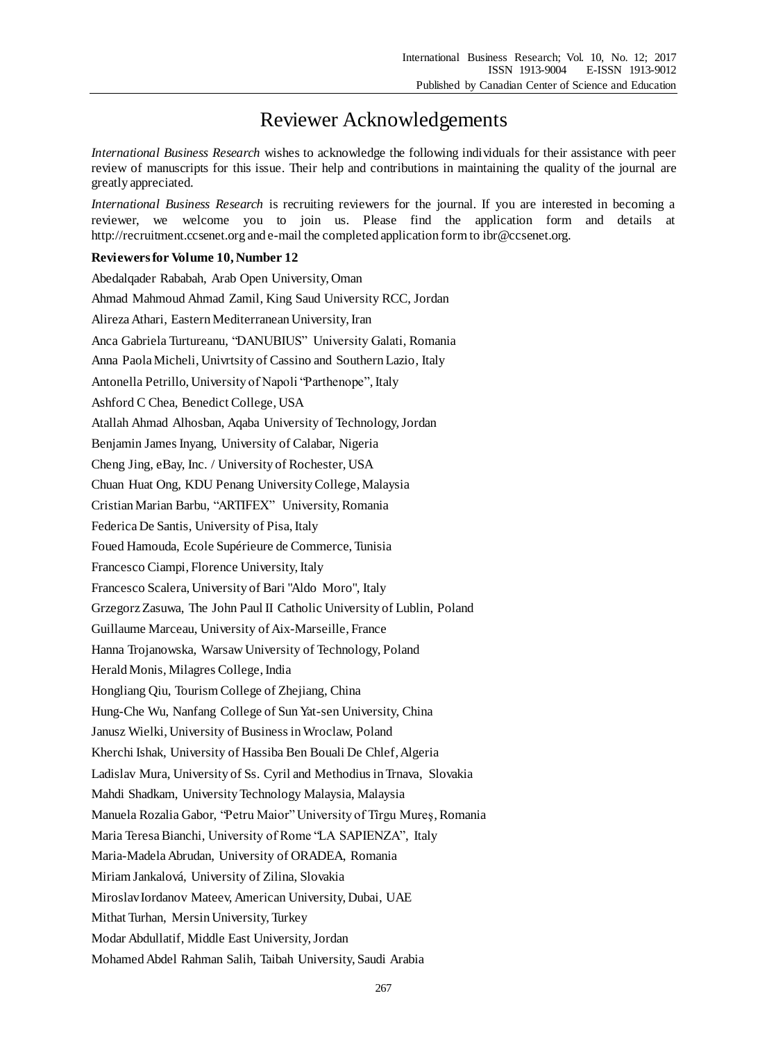## Reviewer Acknowledgements

*International Business Research* wishes to acknowledge the following individuals for their assistance with peer review of manuscripts for this issue. Their help and contributions in maintaining the quality of the journal are greatly appreciated.

*International Business Research* is recruiting reviewers for the journal. If you are interested in becoming a reviewer, we welcome you to join us. Please find the application form and details at http://recruitment.ccsenet.org and e-mail the completed application form to ibr@ccsenet.org.

## **Reviewers for Volume 10, Number 12**

Abedalqader Rababah, Arab Open University, Oman Ahmad Mahmoud Ahmad Zamil, King Saud University RCC, Jordan Alireza Athari, Eastern Mediterranean University, Iran Anca Gabriela Turtureanu, "DANUBIUS" University Galati, Romania Anna Paola Micheli, Univrtsity of Cassino and Southern Lazio, Italy Antonella Petrillo, University of Napoli "Parthenope", Italy Ashford C Chea, Benedict College, USA Atallah Ahmad Alhosban, Aqaba University of Technology, Jordan Benjamin James Inyang, University of Calabar, Nigeria Cheng Jing, eBay, Inc. / University of Rochester, USA Chuan Huat Ong, KDU Penang University College, Malaysia Cristian Marian Barbu, "ARTIFEX" University, Romania Federica De Santis, University of Pisa, Italy Foued Hamouda, Ecole Supérieure de Commerce, Tunisia Francesco Ciampi, Florence University, Italy Francesco Scalera, University of Bari "Aldo Moro", Italy Grzegorz Zasuwa, The John Paul II Catholic University of Lublin, Poland Guillaume Marceau, University of Aix-Marseille, France Hanna Trojanowska, Warsaw University of Technology, Poland Herald Monis, Milagres College, India Hongliang Qiu, Tourism College of Zhejiang, China Hung-Che Wu, Nanfang College of Sun Yat-sen University, China Janusz Wielki, University of Business in Wroclaw, Poland Kherchi Ishak, University of Hassiba Ben Bouali De Chlef, Algeria Ladislav Mura, University of Ss. Cyril and Methodius in Trnava, Slovakia Mahdi Shadkam, University Technology Malaysia, Malaysia Manuela Rozalia Gabor, "Petru Maior" University of Tîrgu Mureş, Romania Maria Teresa Bianchi, University of Rome "LA SAPIENZA", Italy Maria-Madela Abrudan, University of ORADEA, Romania Miriam Jankalová, University of Zilina, Slovakia Miroslav Iordanov Mateev, American University, Dubai, UAE Mithat Turhan, Mersin University, Turkey Modar Abdullatif, Middle East University, Jordan Mohamed Abdel Rahman Salih, Taibah University, Saudi Arabia